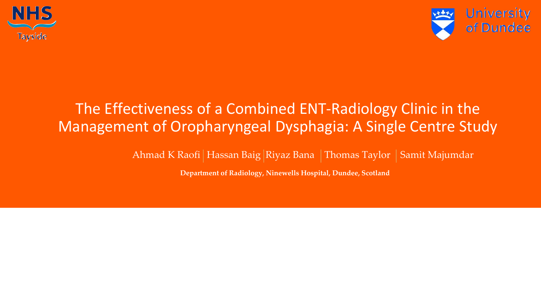

### The Effectiveness of a Combined ENT-Radiology Clinic in the Management of Oropharyngeal Dysphagia: A Single Centre Study

Ahmad K Raofi | Hassan Baig | Riyaz Bana | Thomas Taylor | Samit Majumdar

**Department of Radiology, Ninewells Hospital, Dundee, Scotland**

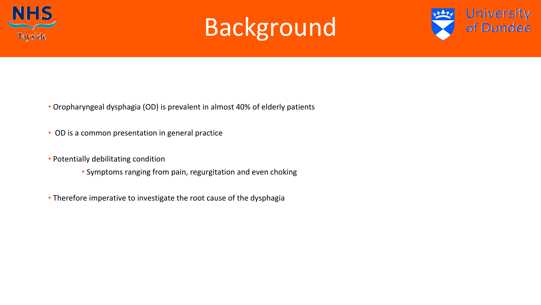



- Oropharyngeal dysphagia (OD) is prevalent in almost 40% of elderly patients
- OD is a common presentation in general practice
- Potentially debilitating condition
	- Symptoms ranging from pain, regurgitation and even choking
- Therefore imperative to investigate the root cause of the dysphagia

## Background

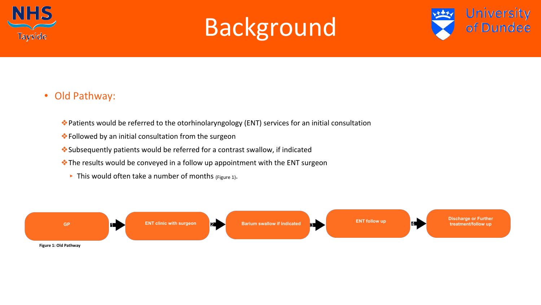### • Old Pathway:

- ❖Patients would be referred to the otorhinolaryngology (ENT) services for an initial consultation
- ❖Followed by an initial consultation from the surgeon
- ❖Subsequently patients would be referred for a contrast swallow, if indicated
- ◆ The results would be conveyed in a follow up appointment with the ENT surgeon
	- $\blacktriangleright$  This would often take a number of months (Figure 1).



## Background



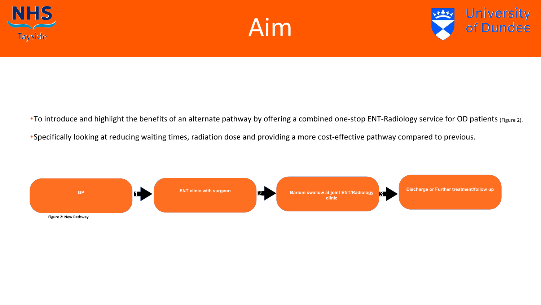• To introduce and highlight the benefits of an alternate pathway by offering a combined one-stop ENT-Radiology service for OD patients (Figure 2). •Specifically looking at reducing waiting times, radiation dose and providing a more cost-effective pathway compared to previous.





- 
- 



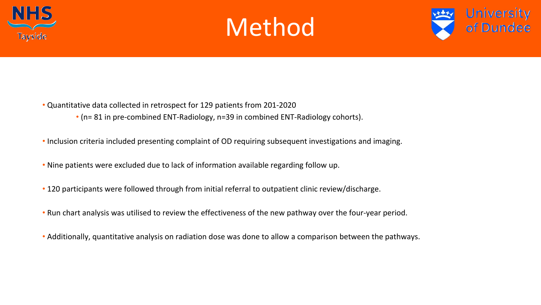



- Quantitative data collected in retrospect for 129 patients from 201-2020 • (n= 81 in pre-combined ENT-Radiology, n=39 in combined ENT-Radiology cohorts).
- Inclusion criteria included presenting complaint of OD requiring subsequent investigations and imaging.
- Nine patients were excluded due to lack of information available regarding follow up.
- 120 participants were followed through from initial referral to outpatient clinic review/discharge.
- Run chart analysis was utilised to review the effectiveness of the new pathway over the four-year period.
- Additionally, quantitative analysis on radiation dose was done to allow a comparison between the pathways.

## Method

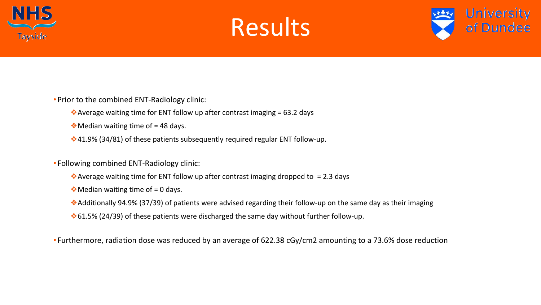

- •Prior to the combined ENT-Radiology clinic:
	- ◆ Average waiting time for ENT follow up after contrast imaging = 63.2 days
	- $\dots$  Median waiting time of = 48 days.
	- ◆41.9% (34/81) of these patients subsequently required regular ENT follow-up.
- Following combined ENT-Radiology clinic:
	- $\leftrightarrow$  Average waiting time for ENT follow up after contrast imaging dropped to = 2.3 days
	- $\triangleleft$  Median waiting time of = 0 days.
	- ❖Additionally 94.9% (37/39) of patients were advised regarding their follow-up on the same day as their imaging
	- ❖61.5% (24/39) of these patients were discharged the same day without further follow-up.
- Furthermore, radiation dose was reduced by an average of 622.38 cGy/cm2 amounting to a 73.6% dose reduction

### Results

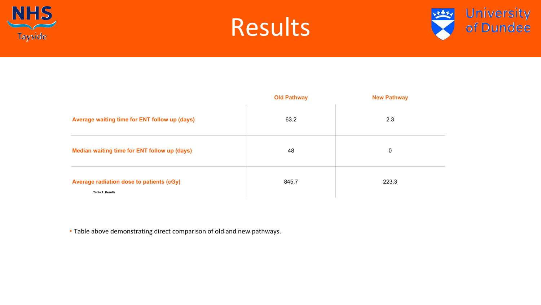



### Average waiting time for ENT follow up (days)

### **Median waiting time for ENT follow up (days)**

### Average radiation dose to patients (cGy)

**Table 1: Results**

| <b>Old Pathway</b> | <b>New Pathway</b> |
|--------------------|--------------------|
| 63.2               | 2.3                |
| 48                 | $\mathbf 0$        |
| 845.7              | 223.3              |

## Results



• Table above demonstrating direct comparison of old and new pathways.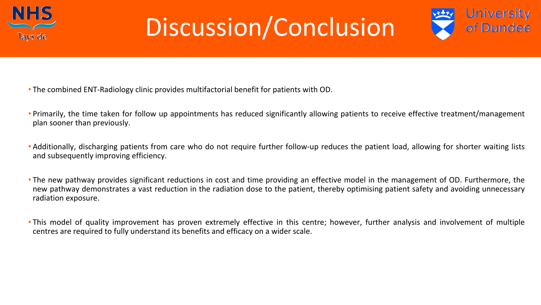• Primarily, the time taken for follow up appointments has reduced significantly allowing patients to receive effective treatment/management

• Additionally, discharging patients from care who do not require further follow-up reduces the patient load, allowing for shorter waiting lists

- The combined ENT-Radiology clinic provides multifactorial benefit for patients with OD.
- plan sooner than previously.
- and subsequently improving efficiency.
- radiation exposure.
- centres are required to fully understand its benefits and efficacy on a wider scale.



• The new pathway provides significant reductions in cost and time providing an effective model in the management of OD. Furthermore, the new pathway demonstrates a vast reduction in the radiation dose to the patient, thereby optimising patient safety and avoiding unnecessary

• This model of quality improvement has proven extremely effective in this centre; however, further analysis and involvement of multiple



# Discussion/Conclusion